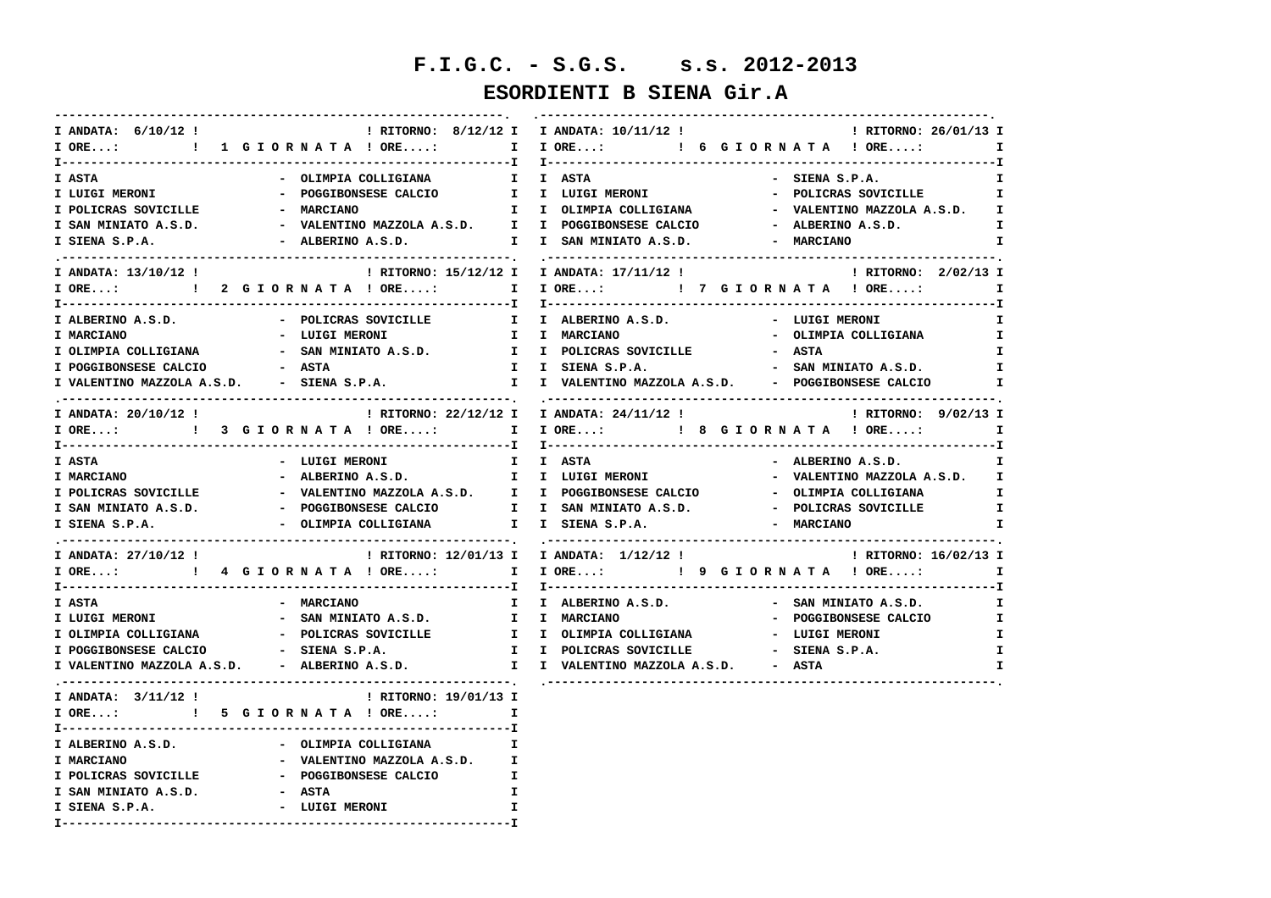# **F.I.G.C. - S.G.S. s.s. 2012-2013**

### **ESORDIENTI B SIENA Gir.A**

| I ANDATA: 6/10/12 !                                     | ! RITORNO: 8/12/12 I I ANDATA: 10/11/12 !<br>! RITORNO: 26/01/13 I                                                                |
|---------------------------------------------------------|-----------------------------------------------------------------------------------------------------------------------------------|
|                                                         | I ORE:  I I G I O R N A T A ! ORE: I I ORE: I G G I O R N A T A ! ORE:<br>$\mathbf{I}$                                            |
|                                                         |                                                                                                                                   |
| I ASTA<br>- OLIMPIA COLLIGIANA                          | I I ASTA<br>- SIENA S.P.A.<br>Ι.<br>- POGGIBONSESE CALCIO 1 I LUIGI MERONI<br>- POLICRAS SOVICILLE              I                 |
| I LUIGI MERONI                                          |                                                                                                                                   |
| I POLICRAS SOVICILLE <b>CONTACT - MARCIANO</b>          | I I OLIMPIA COLLIGIANA A CORPORATINO MAZZOLA A.S.D. I                                                                             |
| I SAN MINIATO A.S.D.                                    | - VALENTINO MAZZOLA A.S.D. I I POGGIBONSESE CALCIO<br>- ALBERINO A.S.D.<br>$\mathbf{I}$                                           |
| I SIENA S.P.A.                                          | - ALBERINO A.S.D. I I SAN MINIATO A.S.D.<br>- MARCIANO<br>I                                                                       |
| I ANDATA: 13/10/12 !                                    | ! RITORNO: 15/12/12 I I ANDATA: 17/11/12 !<br>! RITORNO: 2/02/13 I                                                                |
|                                                         | I ORE:      ! 2 G I O R N A T A ! ORE:      I I ORE:      ! 7 G I O R N A T A ! ORE:      I                                       |
|                                                         |                                                                                                                                   |
| I ALBERINO A.S.D. - POLICRAS SOVICILLE                  | I I ALBERINO A.S.D. - LUIGI MERONI<br>$\mathbf{I}$                                                                                |
| - LUIGI MERONI<br><b>I MARCIANO</b>                     | I I MARCIANO<br>- OLIMPIA COLLIGIANA I                                                                                            |
| I OLIMPIA COLLIGIANA                                    | - ASTA<br>$\mathbf{I}$                                                                                                            |
| I POGGIBONSESE CALCIO                                   | - SAN MINIATO A.S.D.<br>$\mathbf{T}$                                                                                              |
|                                                         | I VALENTINO MAZZOLA A.S.D. - SIENA S.P.A.         I I VALENTINO MAZZOLA A.S.D. - POGGIBONSESE CALCIO                              |
|                                                         |                                                                                                                                   |
| I ANDATA: 20/10/12 !                                    | ! RITORNO: 22/12/12 I I ANDATA: 24/11/12 !<br>: RITORNO: 9/02/13 I                                                                |
|                                                         | I ORE:  1 I ORE: I CRE I CRE: I GELORNATA ! ORE: I                                                                                |
|                                                         |                                                                                                                                   |
| I ASTA<br>- LUIGI MERONI                                | I I ASTA<br>- ALBERINO A.S.D.<br>$\mathbf{I}$ and $\mathbf{I}$                                                                    |
| I MARCIANO                                              | - ALBERINO A.S.D. I I LUIGI MERONI<br>- VALENTINO MAZZOLA A.S.D. I                                                                |
| I POLICRAS SOVICILLE                                    | - WALENTINO MAZZOLA A.S.D. I I POGGIBONSESE CALCIO<br>- OLIMPIA COLLIGIANA<br>$\mathbf{I}$                                        |
|                                                         | I SAN MINIATO A.S.D.               - POGGIBONSESE CALCIO         I   I SAN MINIATO A.S.D.           - POLICRAS SOVICILLE     I    |
| - OLIMPIA COLLIGIANA I I SIENA S.P.A.<br>I SIENA S.P.A. | - MARCIANO<br>$\mathbf{I}$                                                                                                        |
|                                                         |                                                                                                                                   |
| I ANDATA: 27/10/12 !                                    | ! RITORNO: 12/01/13 I I ANDATA: 1/12/12 ! [ RITORNO: 16/02/13 I                                                                   |
|                                                         | I ORE:      ! 4 G I O R N A T A ! ORE:      I I ORE:      ! 9 G I O R N A T A ! ORE:      I                                       |
| - MARCIANO<br><b>I ASTA</b>                             |                                                                                                                                   |
| - SAN MINIATO A.S.D. I I MARCIANO<br>I LUIGI MERONI     | I I ALBERINO A.S.D. - SAN MINIATO A.S.D. I<br>$\mathbf{I}$                                                                        |
|                                                         | - POGGIBONSESE CALCIO<br>$\mathbf{I}$                                                                                             |
|                                                         | $\mathbf{I}$                                                                                                                      |
|                                                         | I POGGIBONSESE CALCIO - SIENA S.P.A. I I POLICRAS SOVICILLE - SIENA S.P.A.<br>I I VALENTINO MAZZOLA A.S.D. - ASTA<br>$\mathbf{I}$ |
| I VALENTINO MAZZOLA A.S.D. - ALBERINO A.S.D.            |                                                                                                                                   |
| I ANDATA: 3/11/12 !<br>: RITORNO: 19/01/13 I            |                                                                                                                                   |
|                                                         |                                                                                                                                   |
|                                                         |                                                                                                                                   |
| I ALBERINO A.S.D.<br>- OLIMPIA COLLIGIANA               | Ι.                                                                                                                                |
| I MARCIANO<br>- VALENTINO MAZZOLA A.S.D. I              |                                                                                                                                   |
| I POLICRAS SOVICILLE - POGGIBONSESE CALCIO              | Ι.                                                                                                                                |
| - ASTA<br>I SAN MINIATO A.S.D.                          | Ι.                                                                                                                                |
| - LUIGI MERONI<br>I SIENA S.P.A.                        | I.                                                                                                                                |
|                                                         |                                                                                                                                   |
|                                                         |                                                                                                                                   |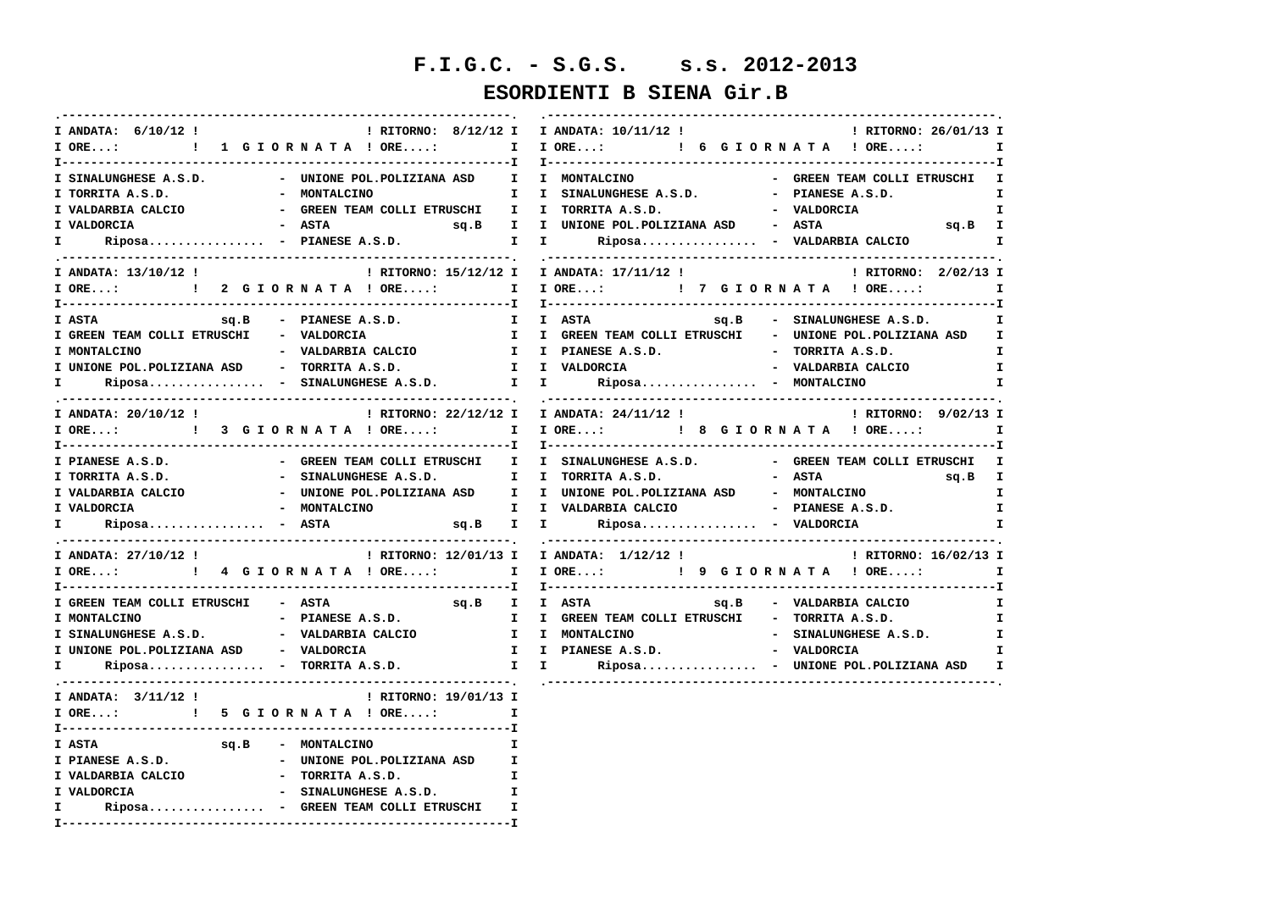# **F.I.G.C. - S.G.S. s.s. 2012-2013**

### **ESORDIENTI B SIENA Gir.B**

| I ANDATA: $6/10/12$ !                                                                 | ! RITORNO: 8/12/12 I I ANDATA: 10/11/12 !<br>! RITORNO: 26/01/13 I                                                                             |
|---------------------------------------------------------------------------------------|------------------------------------------------------------------------------------------------------------------------------------------------|
| I ORE: : 1 G I O R N A T A ! ORE: I I ORE: : : 6 G I O R N A T A ! ORE:               | $\mathbf{I}$                                                                                                                                   |
|                                                                                       |                                                                                                                                                |
| - UNIONE POL.POLIZIANA ASD I I MONTALCINO<br>I SINALUNGHESE A.S.D.                    | - GREEN TEAM COLLI ETRUSCHI I                                                                                                                  |
| - MONTALCINO<br>I TORRITA A.S.D.                                                      | - PIANESE A.S.D.<br>I I SINALUNGHESE A.S.D.<br>$\mathbf{I}$                                                                                    |
| I VALDARBIA CALCIO                                                                    | - GREEN TEAM COLLI ETRUSCHI II I TORRITA A.S.D.                 - VALDORCIA<br>T.                                                              |
| I VALDORCIA                                                                           | sq.B I                                                                                                                                         |
| I Riposa - PIANESE A.S.D.                                                             | $\mathbf{I}$                                                                                                                                   |
|                                                                                       |                                                                                                                                                |
| I ANDATA: 13/10/12 !                                                                  | ! RITORNO: 15/12/12 I I ANDATA: 17/11/12 !<br>! RITORNO: 2/02/13 I                                                                             |
|                                                                                       | IORE:    !!    2GIORNATA!ORE:    IIORE:    !!    7GIORNATA!ORE:    I                                                                           |
|                                                                                       |                                                                                                                                                |
| $sq.B$ - PIANESE $A.S.D.$<br>I ASTA                                                   | I I ASTA<br>sq.B - SINALUNGHESE A.S.D.<br>$\mathbf{I}$                                                                                         |
| I GREEN TEAM COLLI ETRUSCHI - VALDORCIA                                               | I I GREEN TEAM COLLI ETRUSCHI - UNIONE POL.POLIZIANA ASD I                                                                                     |
| I MONTALCINO<br>- VALDARBIA CALCIO                                                    | I I PIANESE A.S.D. - TORRITA A.S.D.<br>$\mathbf{I}$                                                                                            |
| I UNIONE POL.POLIZIANA ASD - TORRITA A.S.D.                                           | I I VALDORCIA<br>- VALDARBIA CALCIO<br>$\mathbf{I}$                                                                                            |
| $\verb Riposa{}  - \verb SINALUNGHESE A.S.D.  I I Riposa{} - \verb MONTALCINO $<br>I. | $\mathbf{I}$                                                                                                                                   |
|                                                                                       |                                                                                                                                                |
| I ANDATA: 20/10/12 !                                                                  | $: RITORMO: 22/12/12 I   I ANDATA: 24/11/12 I$<br>! RITORNO: 9/02/13 I                                                                         |
|                                                                                       | I ORE:  1 I ORE: I CRE I CRE: I CRE: I CRE I CRE I                                                                                             |
|                                                                                       |                                                                                                                                                |
| I PIANESE A.S.D.                                                                      | - GREEN TEAM COLLI ETRUSCHI II SINALUNGHESE A.S.D.       - GREEN TEAM COLLI ETRUSCHI I                                                         |
| - SINALUNGHESE A.S.D. I I TORRITA A.S.D.<br>I TORRITA A.S.D.                          | - ASTA<br>$sg.B$ I                                                                                                                             |
| I VALDARBIA CALCIO                                                                    | - UNIONE POL.POLIZIANA ASD   I I UNIONE POL.POLIZIANA ASD   - MONTALCINO<br>$\mathbf{I}$                                                       |
| I VALDORCIA                                                                           | - MONTALCINO             I   UALDARBIA CALCIO                   PIANESE A.S.D.<br>$\mathbf{I}$                                                 |
| $\mathbf{I}$ and $\mathbf{I}$<br>$Riposa$ - ASTA                                      | sq.B I I Riposa - VALDORCIA<br>$\mathbf{I}$                                                                                                    |
|                                                                                       |                                                                                                                                                |
| I ANDATA: 27/10/12 !                                                                  | ! RITORNO: 12/01/13 I I ANDATA: 1/12/12 !<br>! RITORNO: 16/02/13 I                                                                             |
|                                                                                       | I ORE:  I P ORE: I P ORE: I P ORE: I P G I OR N A T A ! ORE:<br>$\mathbf{I}$                                                                   |
|                                                                                       |                                                                                                                                                |
| I GREEN TEAM COLLI ETRUSCHI - ASTA                                                    | $sq.B$ I I ASTA $sq.B$ - VALDARBIA CALCIO<br>$\mathbf{I}$                                                                                      |
| - PIANESE A.S.D.<br>I MONTALCINO                                                      | I I GREEN TEAM COLLI ETRUSCHI - TORRITA A.S.D.<br>I.                                                                                           |
|                                                                                       | I SINALUNGHESE A.S.D.               VALDARBIA CALCIO           I   I  MONTALCINO                           SINALUNGHESE A.S.D.<br>$\mathbf{I}$ |
| I UNIONE POL.POLIZIANA ASD - VALDORCIA                                                | - VALDORCIA<br>I I PIANESE A.S.D.<br>I                                                                                                         |
| Riposa - TORRITA A.S.D.<br>I.                                                         | I I Riposa - UNIONE POL.POLIZIANA ASD I                                                                                                        |
|                                                                                       |                                                                                                                                                |
| I ANDATA: 3/11/12 !<br>! RITORNO: 19/01/13 I                                          |                                                                                                                                                |
| I ORE: : : : 5 G I O R N A T A ! ORE: I                                               |                                                                                                                                                |
|                                                                                       |                                                                                                                                                |
| sq.B - MONTALCINO<br><b>I ASTA</b>                                                    | Ι.                                                                                                                                             |
| - UNIONE POL.POLIZIANA ASD I<br>I PIANESE A.S.D.                                      |                                                                                                                                                |
| I VALDARBIA CALCIO - TORRITA A.S.D.                                                   | $\mathbf{I}$                                                                                                                                   |
| - SINALUNGHESE A.S.D.<br>I VALDORCIA                                                  | $\mathbf{I}$                                                                                                                                   |
| Riposa - GREEN TEAM COLLI ETRUSCHI<br>$\mathbf{I}$ and $\mathbf{I}$                   | $\mathbf{T}$                                                                                                                                   |
|                                                                                       |                                                                                                                                                |